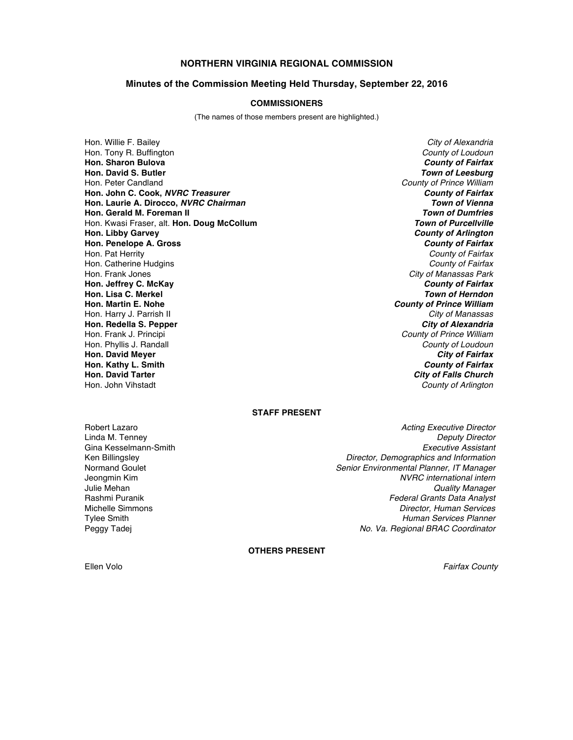# **NORTHERN VIRGINIA REGIONAL COMMISSION**

### **Minutes of the Commission Meeting Held Thursday, September 22, 2016**

#### **COMMISSIONERS**

(The names of those members present are highlighted.)

Hon. Willie F. Bailey *City of Alexandria* Hon. Tony R. Buffington *County of Loudoun* **Hon. Sharon Bulova** *County of Fairfax* **Hon. David S. Butler** *Town of Leesburg* Hon. Peter Candland *County of Prince William* **Hon. John C. Cook,** *NVRC Treasurer County of Fairfax* **Hon. Laurie A. Dirocco,** *NVRC Chairman Town of Vienna* **Hon. Gerald M. Foreman II** *Town of Dumfries* Hon. Kwasi Fraser, alt. Hon. Doug McCollum **Hon. Libby Garvey** *County of Arlington* **Hon. Penelope A. Gross** *County of Fairfax* Hon. Pat Herrity *County of Fairfax* Hon. Catherine Hudgins *County of Fairfax* Hon. Frank Jones *City of Manassas Park* **Hon. Jeffrey C. McKay** *County of Fairfax* **Hon. Lisa C. Merkel<br><b>Hon. Martin E. Nohe** Hon. Harry J. Parrish II *City of Manassas* **Hon. Redella S. Pepper**<br>**Hon. Frank J. Principi** Hon. Phyllis J. Randall *County of Loudoun* **Hon. David Meyer** *City of Fairfax* **Hon. Kathy L. Smith** *County of Fairfax*

**County of Prince William County of Prince William Hon. David Tarter** *City of Falls Church* **County of Arlington** 

### **STAFF PRESENT**

Gina Kesselmann-Smith<br>Ken Billingsley

Robert Lazaro *Acting Executive Director* Linda M. Tenney *Deputy Director* Ken Billingsley *Director, Demographics and Information* Normand Goulet *Senior Environmental Planner, IT Manager*  $NVRC$  *international intern* Julie Mehan *Quality Manager* **Federal Grants Data Analyst** Michelle Simmons *Director, Human Services* **Human Services Planner** Peggy Tadej *No. Va. Regional BRAC Coordinator*

**OTHERS PRESENT**

Ellen Volo *Fairfax County*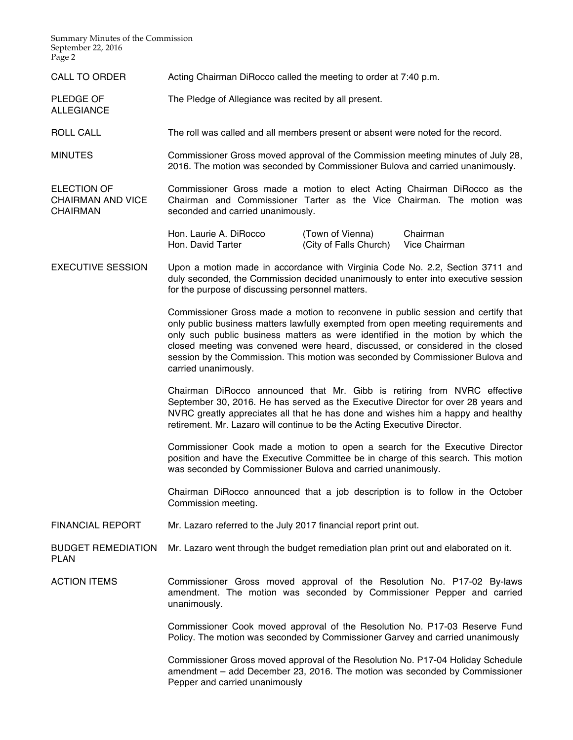Summary Minutes of the Commission September 22, 2016 Page 2

CALL TO ORDER Acting Chairman DiRocco called the meeting to order at 7:40 p.m.

PLEDGE OF ALLEGIANCE The Pledge of Allegiance was recited by all present.

ROLL CALL The roll was called and all members present or absent were noted for the record.

MINUTES Commissioner Gross moved approval of the Commission meeting minutes of July 28, 2016. The motion was seconded by Commissioner Bulova and carried unanimously.

ELECTION OF CHAIRMAN AND VICE **CHAIRMAN** Commissioner Gross made a motion to elect Acting Chairman DiRocco as the Chairman and Commissioner Tarter as the Vice Chairman. The motion was seconded and carried unanimously.

> Hon. Laurie A. DiRocco (Town of Vienna) Chairman Hon. David Tarter **Falls Church** (City of Falls Church) Vice Chairman

EXECUTIVE SESSION Upon a motion made in accordance with Virginia Code No. 2.2, Section 3711 and duly seconded, the Commission decided unanimously to enter into executive session for the purpose of discussing personnel matters.

> Commissioner Gross made a motion to reconvene in public session and certify that only public business matters lawfully exempted from open meeting requirements and only such public business matters as were identified in the motion by which the closed meeting was convened were heard, discussed, or considered in the closed session by the Commission. This motion was seconded by Commissioner Bulova and carried unanimously.

> Chairman DiRocco announced that Mr. Gibb is retiring from NVRC effective September 30, 2016. He has served as the Executive Director for over 28 years and NVRC greatly appreciates all that he has done and wishes him a happy and healthy retirement. Mr. Lazaro will continue to be the Acting Executive Director.

> Commissioner Cook made a motion to open a search for the Executive Director position and have the Executive Committee be in charge of this search. This motion was seconded by Commissioner Bulova and carried unanimously.

> Chairman DiRocco announced that a job description is to follow in the October Commission meeting.

FINANCIAL REPORT Mr. Lazaro referred to the July 2017 financial report print out.

BUDGET REMEDIATION PI AN Mr. Lazaro went through the budget remediation plan print out and elaborated on it.

ACTION ITEMS Commissioner Gross moved approval of the Resolution No. P17-02 By-laws amendment. The motion was seconded by Commissioner Pepper and carried unanimously.

> Commissioner Cook moved approval of the Resolution No. P17-03 Reserve Fund Policy. The motion was seconded by Commissioner Garvey and carried unanimously

> Commissioner Gross moved approval of the Resolution No. P17-04 Holiday Schedule amendment – add December 23, 2016. The motion was seconded by Commissioner Pepper and carried unanimously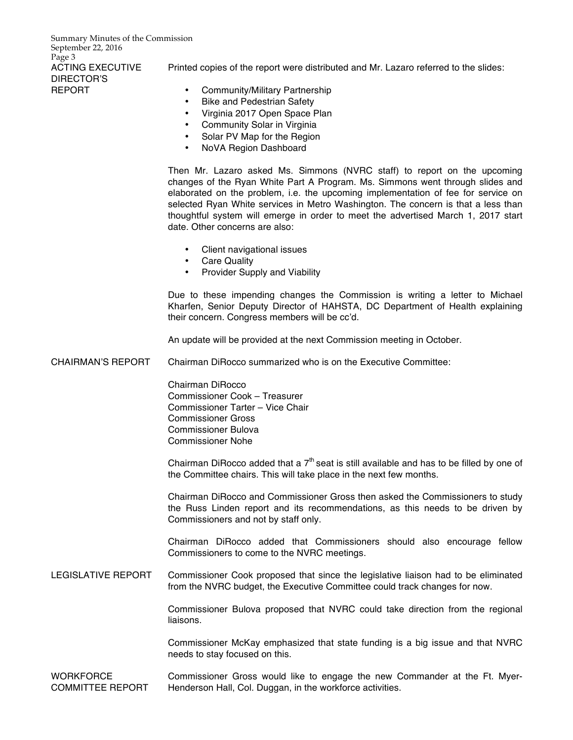Summary Minutes of the Commission September 22, 2016 Page 3 ACTING EXECUTIVE DIRECTOR'S REPORT

Printed copies of the report were distributed and Mr. Lazaro referred to the slides:

- Community/Military Partnership
- Bike and Pedestrian Safety
- Virginia 2017 Open Space Plan
- Community Solar in Virginia
- Solar PV Map for the Region
- NoVA Region Dashboard

Then Mr. Lazaro asked Ms. Simmons (NVRC staff) to report on the upcoming changes of the Ryan White Part A Program. Ms. Simmons went through slides and elaborated on the problem, i.e. the upcoming implementation of fee for service on selected Ryan White services in Metro Washington. The concern is that a less than thoughtful system will emerge in order to meet the advertised March 1, 2017 start date. Other concerns are also:

- Client navigational issues
- Care Quality
- Provider Supply and Viability

Due to these impending changes the Commission is writing a letter to Michael Kharfen, Senior Deputy Director of HAHSTA, DC Department of Health explaining their concern. Congress members will be cc'd.

An update will be provided at the next Commission meeting in October.

CHAIRMAN'S REPORT Chairman DiRocco summarized who is on the Executive Committee:

Chairman DiRocco Commissioner Cook – Treasurer Commissioner Tarter – Vice Chair Commissioner Gross Commissioner Bulova Commissioner Nohe

Chairman DiRocco added that a  $7<sup>th</sup>$  seat is still available and has to be filled by one of the Committee chairs. This will take place in the next few months.

Chairman DiRocco and Commissioner Gross then asked the Commissioners to study the Russ Linden report and its recommendations, as this needs to be driven by Commissioners and not by staff only.

Chairman DiRocco added that Commissioners should also encourage fellow Commissioners to come to the NVRC meetings.

# LEGISLATIVE REPORT Commissioner Cook proposed that since the legislative liaison had to be eliminated from the NVRC budget, the Executive Committee could track changes for now.

Commissioner Bulova proposed that NVRC could take direction from the regional liaisons.

Commissioner McKay emphasized that state funding is a big issue and that NVRC needs to stay focused on this.

**WORKFORCE** COMMITTEE REPORT Commissioner Gross would like to engage the new Commander at the Ft. Myer-Henderson Hall, Col. Duggan, in the workforce activities.